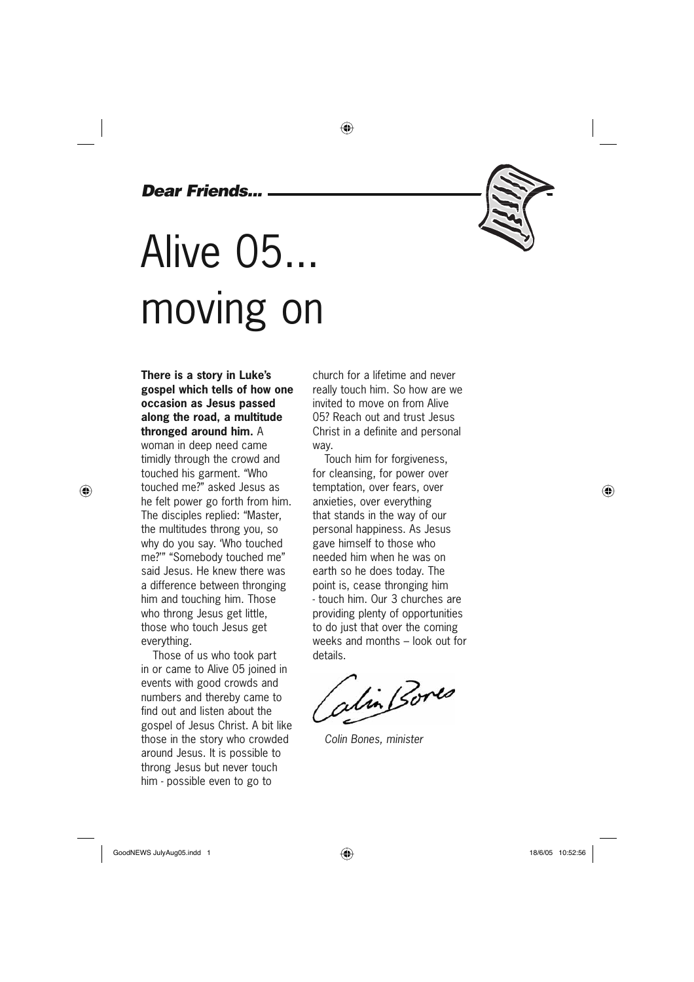### *Dear Friends...*

# Alive 05... moving on

**There is a story in Luke's gospel which tells of how one occasion as Jesus passed along the road, a multitude thronged around him.** A

woman in deep need came timidly through the crowd and touched his garment. "Who touched me?" asked Jesus as he felt power go forth from him. The disciples replied: "Master, the multitudes throng you, so why do you say. 'Who touched me?'" "Somebody touched me" said Jesus. He knew there was a difference between thronging him and touching him. Those who throng Jesus get little, those who touch Jesus get everything.

⊕

Those of us who took part in or came to Alive 05 joined in events with good crowds and numbers and thereby came to find out and listen about the gospel of Jesus Christ. A bit like those in the story who crowded around Jesus. It is possible to throng Jesus but never touch him - possible even to go to

church for a lifetime and never really touch him. So how are we invited to move on from Alive 05? Reach out and trust Jesus Christ in a definite and personal way.

⊕

Touch him for forgiveness, for cleansing, for power over temptation, over fears, over anxieties, over everything that stands in the way of our personal happiness. As Jesus gave himself to those who needed him when he was on earth so he does today. The point is, cease thronging him - touch him. Our 3 churches are providing plenty of opportunities to do just that over the coming weeks and months – look out for details.

alin Bores

*Colin Bones, minister*

◈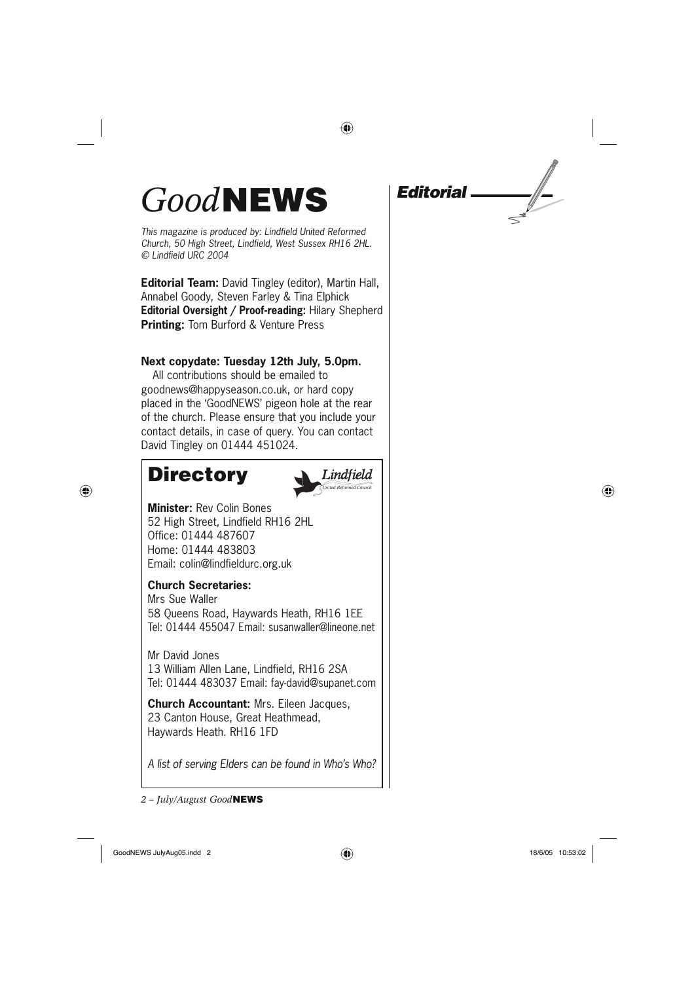## *Good***NEWS**

*This magazine is produced by: Lindfield United Reformed Church, 50 High Street, Lindfield, West Sussex RH16 2HL. © Lindfield URC 2004*

**Editorial Team:** David Tingley (editor), Martin Hall, Annabel Goody, Steven Farley & Tina Elphick **Editorial Oversight / Proof-reading:** Hilary Shepherd **Printing:** Tom Burford & Venture Press

### **Next copydate: Tuesday 12th July, 5.0pm.**

All contributions should be emailed to goodnews@happyseason.co.uk, or hard copy placed in the 'GoodNEWS' pigeon hole at the rear of the church. Please ensure that you include your contact details, in case of query. You can contact David Tingley on 01444 451024.

### **Directory**

⊕



◈

**Minister:** Rev Colin Bones 52 High Street, Lindfield RH16 2HL Office: 01444 487607 Home: 01444 483803 Email: colin@lindfieldurc.org.uk

### **Church Secretaries:**

Mrs Sue Waller 58 Queens Road, Haywards Heath, RH16 1EE Tel: 01444 455047 Email: susanwaller@lineone.net

Mr David Jones 13 William Allen Lane, Lindfield, RH16 2SA Tel: 01444 483037 Email: fay-david@supanet.com

**Church Accountant:** Mrs. Eileen Jacques, 23 Canton House, Great Heathmead, Haywards Heath. RH16 1FD

*A list of serving Elders can be found in Who's Who?*

*2 – July/August Good***NEWS**

*Editorial*

GoodNEWS JulyAug05.indd 2  $\overline{\bigoplus}$  ( $\overline{\bigoplus}$  and  $\overline{\bigoplus}$  18/6/05 10:53:02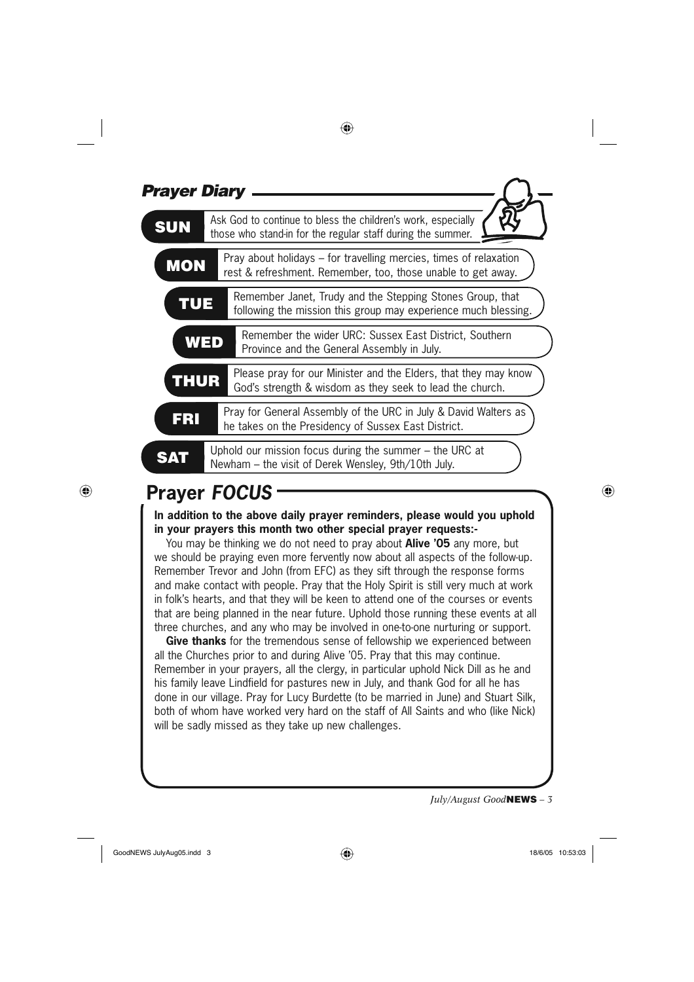| <b>Prayer Diary</b> |                                                                                                                                   |  |  |  |
|---------------------|-----------------------------------------------------------------------------------------------------------------------------------|--|--|--|
| <b>SUN</b>          | Ask God to continue to bless the children's work, especially<br>those who stand-in for the regular staff during the summer.       |  |  |  |
| <b>MON</b>          | Pray about holidays – for travelling mercies, times of relaxation<br>rest & refreshment. Remember, too, those unable to get away. |  |  |  |
| <b>TUE</b>          | Remember Janet, Trudy and the Stepping Stones Group, that<br>following the mission this group may experience much blessing.       |  |  |  |
| WED                 | Remember the wider URC: Sussex East District, Southern<br>Province and the General Assembly in July.                              |  |  |  |
| <b>THUR</b>         | Please pray for our Minister and the Elders, that they may know<br>God's strength & wisdom as they seek to lead the church.       |  |  |  |
| FRI                 | Pray for General Assembly of the URC in July & David Walters as<br>he takes on the Presidency of Sussex East District.            |  |  |  |
|                     | Uphold our mission focus during the summer $-$ the URC at<br>Newham - the visit of Derek Wensley, 9th/10th July.                  |  |  |  |

◈

### **Prayer** *FOCUS*

⊕

**In addition to the above daily prayer reminders, please would you uphold in your prayers this month two other special prayer requests:-**

You may be thinking we do not need to pray about **Alive '05** any more, but we should be praying even more fervently now about all aspects of the follow-up. Remember Trevor and John (from EFC) as they sift through the response forms and make contact with people. Pray that the Holy Spirit is still very much at work in folk's hearts, and that they will be keen to attend one of the courses or events that are being planned in the near future. Uphold those running these events at all three churches, and any who may be involved in one-to-one nurturing or support.

**Give thanks** for the tremendous sense of fellowship we experienced between all the Churches prior to and during Alive '05. Pray that this may continue. Remember in your prayers, all the clergy, in particular uphold Nick Dill as he and his family leave Lindfield for pastures new in July, and thank God for all he has done in our village. Pray for Lucy Burdette (to be married in June) and Stuart Silk, both of whom have worked very hard on the staff of All Saints and who (like Nick) will be sadly missed as they take up new challenges.

*July/August Good***NEWS** *– 3*

GoodNEWS JulyAug05.indd 3  $\overline{\bigoplus}$  18/6/05 10:53:03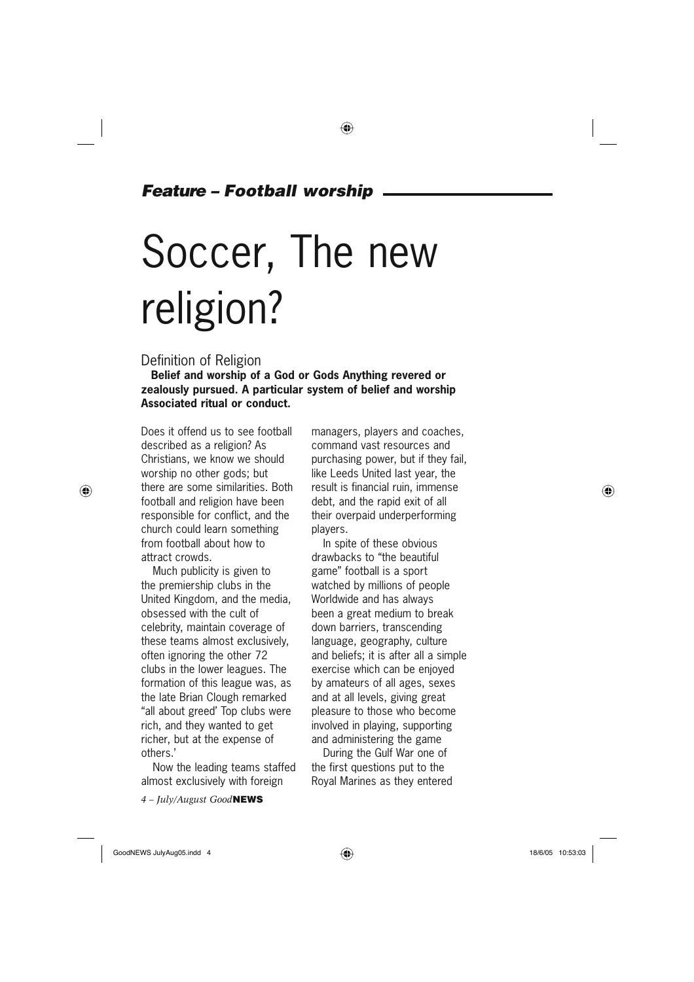### *Feature – Football worship*

# Soccer, The new religion?

### Definition of Religion

**Belief and worship of a God or Gods Anything revered or zealously pursued. A particular system of belief and worship Associated ritual or conduct.**

Does it offend us to see football described as a religion? As Christians, we know we should worship no other gods; but there are some similarities. Both football and religion have been responsible for conflict, and the church could learn something from football about how to attract crowds.

Much publicity is given to the premiership clubs in the United Kingdom, and the media, obsessed with the cult of celebrity, maintain coverage of these teams almost exclusively, often ignoring the other 72 clubs in the lower leagues. The formation of this league was, as the late Brian Clough remarked "all about greed' Top clubs were rich, and they wanted to get richer, but at the expense of others.'

Now the leading teams staffed almost exclusively with foreign

*4 – July/August Good***NEWS**

managers, players and coaches, command vast resources and purchasing power, but if they fail, like Leeds United last year, the result is financial ruin, immense debt, and the rapid exit of all their overpaid underperforming players.

In spite of these obvious drawbacks to "the beautiful game" football is a sport watched by millions of people Worldwide and has always been a great medium to break down barriers, transcending language, geography, culture and beliefs; it is after all a simple exercise which can be enjoyed by amateurs of all ages, sexes and at all levels, giving great pleasure to those who become involved in playing, supporting and administering the game

During the Gulf War one of the first questions put to the Royal Marines as they entered

⊕

GoodNEWS JulyAug05.indd 4  $\bigoplus$ 

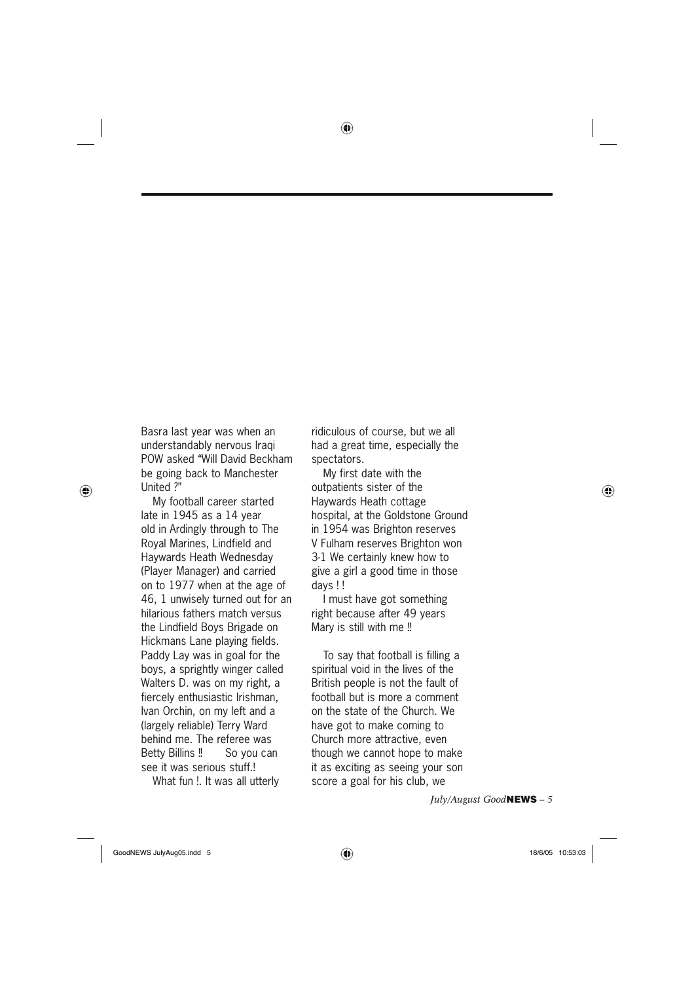⊕

Basra last year was when an understandably nervous Iraqi POW asked "Will David Beckham be going back to Manchester United ?"

⊕

My football career started late in 1945 as a 14 year old in Ardingly through to The Royal Marines, Lindfield and Haywards Heath Wednesday (Player Manager) and carried on to 1977 when at the age of 46, 1 unwisely turned out for an hilarious fathers match versus the Lindfield Boys Brigade on Hickmans Lane playing fields. Paddy Lay was in goal for the boys, a sprightly winger called Walters D. was on my right, a fiercely enthusiastic Irishman, Ivan Orchin, on my left and a (largely reliable) Terry Ward behind me. The referee was Betty Billins !! So you can see it was serious stuff.!

What fun !. It was all utterly

ridiculous of course, but we all had a great time, especially the spectators.

My first date with the outpatients sister of the Haywards Heath cottage hospital, at the Goldstone Ground in 1954 was Brighton reserves V Fulham reserves Brighton won 3-1 We certainly knew how to give a girl a good time in those days ! !

I must have got something right because after 49 years Mary is still with me !!

To say that football is filling a spiritual void in the lives of the British people is not the fault of football but is more a comment on the state of the Church. We have got to make coming to Church more attractive, even though we cannot hope to make it as exciting as seeing your son score a goal for his club, we

*July/August Good***NEWS** *– 5*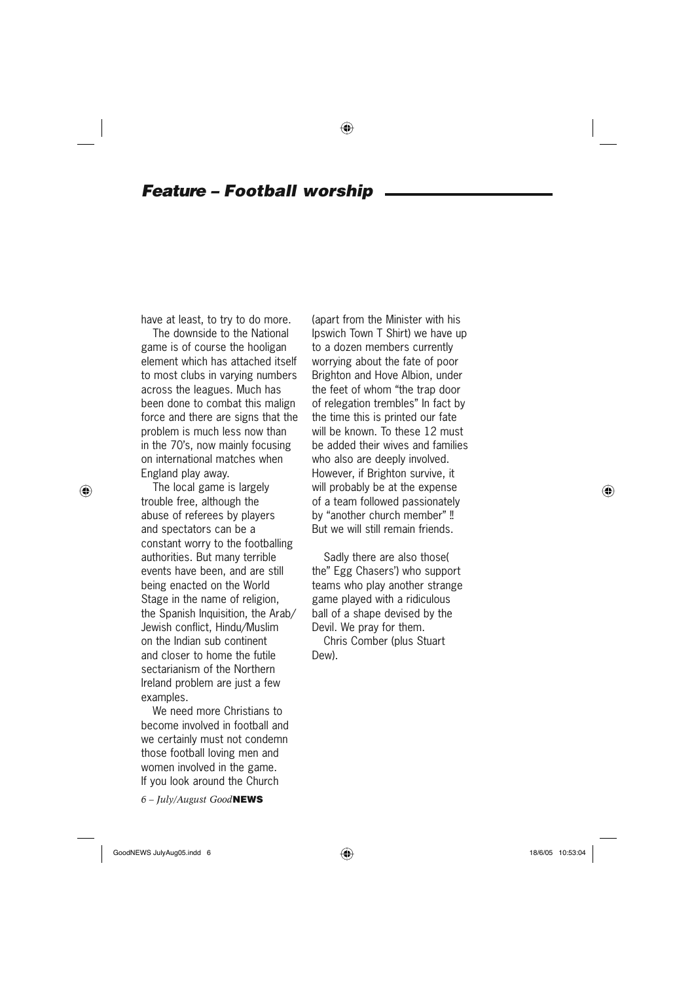### *Feature – Football worship*

have at least, to try to do more.

The downside to the National game is of course the hooligan element which has attached itself to most clubs in varying numbers across the leagues. Much has been done to combat this malign force and there are signs that the problem is much less now than in the 70's, now mainly focusing on international matches when England play away.

⊕

The local game is largely trouble free, although the abuse of referees by players and spectators can be a constant worry to the footballing authorities. But many terrible events have been, and are still being enacted on the World Stage in the name of religion, the Spanish Inquisition, the Arab/ Jewish conflict, Hindu/Muslim on the Indian sub continent and closer to home the futile sectarianism of the Northern Ireland problem are just a few examples.

We need more Christians to become involved in football and we certainly must not condemn those football loving men and women involved in the game. If you look around the Church

*6 – July/August Good***NEWS**

(apart from the Minister with his Ipswich Town T Shirt) we have up to a dozen members currently worrying about the fate of poor Brighton and Hove Albion, under the feet of whom "the trap door of relegation trembles" In fact by the time this is printed our fate will be known. To these 12 must be added their wives and families who also are deeply involved. However, if Brighton survive, it will probably be at the expense of a team followed passionately by "another church member" !! But we will still remain friends.

Sadly there are also those( the" Egg Chasers') who support teams who play another strange game played with a ridiculous ball of a shape devised by the Devil. We pray for them.

Chris Comber (plus Stuart Dew).

GoodNEWS JulyAug05.indd 6  $\bigoplus$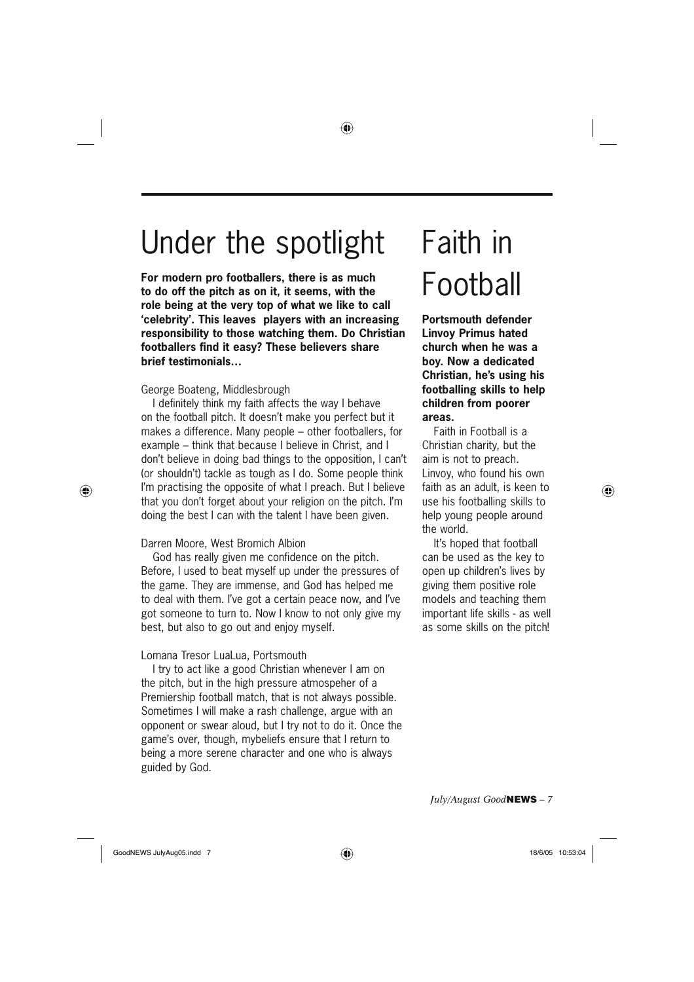### Under the spotlight

◈

**For modern pro footballers, there is as much to do off the pitch as on it, it seems, with the role being at the very top of what we like to call 'celebrity'. This leaves players with an increasing responsibility to those watching them. Do Christian footballers find it easy? These believers share brief testimonials…**

#### George Boateng, Middlesbrough

I definitely think my faith affects the way I behave on the football pitch. It doesn't make you perfect but it makes a difference. Many people – other footballers, for example – think that because I believe in Christ, and I don't believe in doing bad things to the opposition, I can't (or shouldn't) tackle as tough as I do. Some people think I'm practising the opposite of what I preach. But I believe that you don't forget about your religion on the pitch. I'm doing the best I can with the talent I have been given.

### Darren Moore, West Bromich Albion

⊕

God has really given me confidence on the pitch. Before, I used to beat myself up under the pressures of the game. They are immense, and God has helped me to deal with them. I've got a certain peace now, and I've got someone to turn to. Now I know to not only give my best, but also to go out and enjoy myself.

### Lomana Tresor LuaLua, Portsmouth

I try to act like a good Christian whenever I am on the pitch, but in the high pressure atmospeher of a Premiership football match, that is not always possible. Sometimes I will make a rash challenge, argue with an opponent or swear aloud, but I try not to do it. Once the game's over, though, mybeliefs ensure that I return to being a more serene character and one who is always guided by God.

## Faith in Football

**Portsmouth defender Linvoy Primus hated church when he was a boy. Now a dedicated Christian, he's using his footballing skills to help children from poorer areas.**

Faith in Football is a Christian charity, but the aim is not to preach. Linvoy, who found his own faith as an adult, is keen to use his footballing skills to help young people around the world.

It's hoped that football can be used as the key to open up children's lives by giving them positive role models and teaching them important life skills - as well as some skills on the pitch!

*July/August Good***NEWS** *– 7*

GoodNEWS JulyAug05.indd 7  $\bigoplus$ 

⊕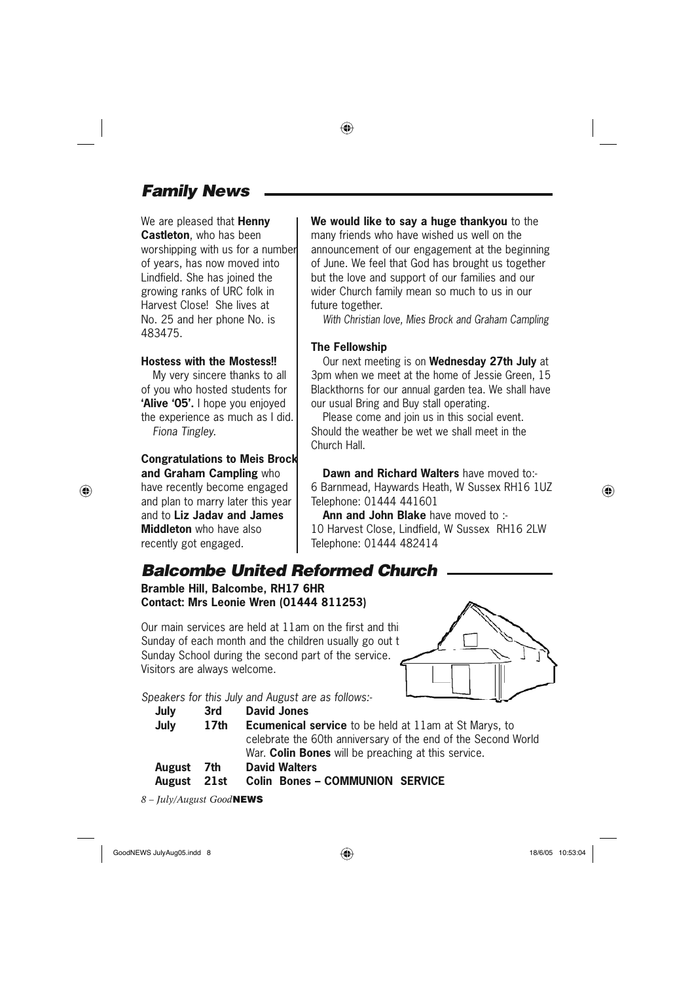### *Family News*

We are pleased that **Henny Castleton**, who has been worshipping with us for a number of years, has now moved into Lindfield. She has joined the growing ranks of URC folk in Harvest Close! She lives at No. 25 and her phone No. is 483475.

#### **Hostess with the Mostess!!**

My very sincere thanks to all of you who hosted students for **'Alive '05'.** I hope you enjoyed the experience as much as I did. *Fiona Tingley.*

### **Congratulations to Meis Brock and Graham Campling** who

have recently become engaged and plan to marry later this year and to **Liz Jadav and James Middleton** who have also recently got engaged.

⊕

**We would like to say a huge thankyou** to the many friends who have wished us well on the announcement of our engagement at the beginning of June. We feel that God has brought us together but the love and support of our families and our wider Church family mean so much to us in our future together.

*With Christian love, Mies Brock and Graham Campling*

#### **The Fellowship**

◈

Our next meeting is on **Wednesday 27th July** at 3pm when we meet at the home of Jessie Green, 15 Blackthorns for our annual garden tea. We shall have our usual Bring and Buy stall operating.

Please come and join us in this social event. Should the weather be wet we shall meet in the Church Hall.

**Dawn and Richard Walters** have moved to:- 6 Barnmead, Haywards Heath, W Sussex RH16 1UZ Telephone: 01444 441601

**Ann and John Blake** have moved to :- 10 Harvest Close, Lindfield, W Sussex RH16 2LW Telephone: 01444 482414

### *Balcombe United Reformed Church*

**Bramble Hill, Balcombe, RH17 6HR Contact: Mrs Leonie Wren (01444 811253)**

Our main services are held at  $11$ am on the first and thi Sunday of each month and the children usually go out to Sunday School during the second part of the service. Visitors are always welcome.



### *Speakers for this July and August are as follows:-*

| July | 3rd  | David Jones                                                   |  |  |
|------|------|---------------------------------------------------------------|--|--|
| July | 17th | <b>Ecumenical service</b> to be held at 11am at St Marys, to  |  |  |
|      |      | celebrate the 60th anniversary of the end of the Second World |  |  |
|      |      | War. <b>Colin Bones</b> will be preaching at this service.    |  |  |

 **August 7th David Walters**



*8 – July/August Good***NEWS**

GoodNEWS JulyAug05.indd 8  $\overline{\bigoplus}$  **oodNEWS** 18/6/05 10:53:04

◈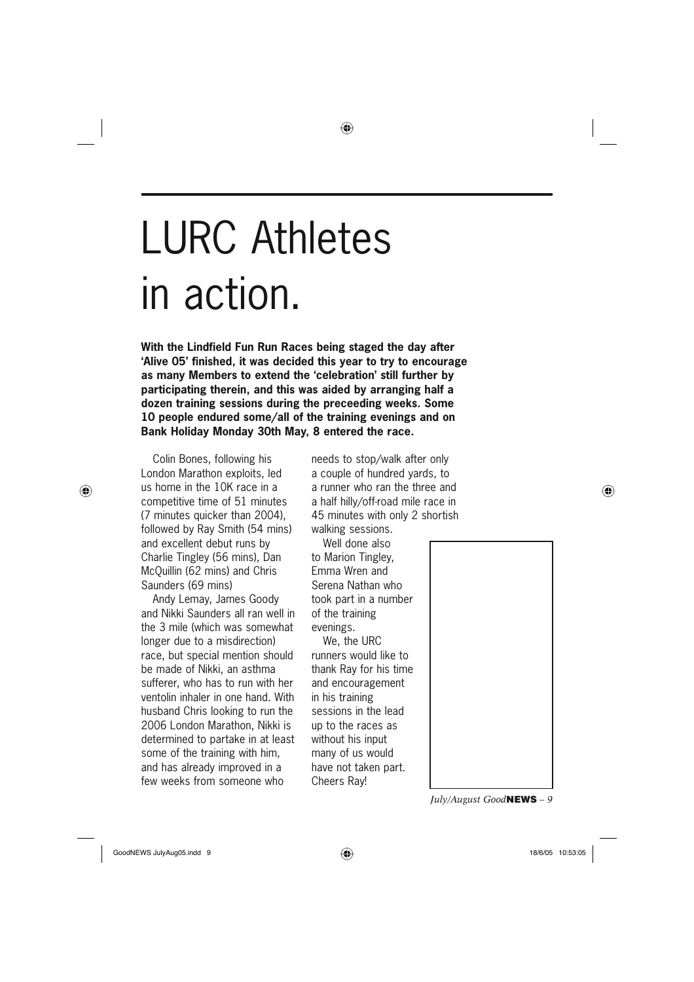# LURC Athletes in action.

**With the Lindfield Fun Run Races being staged the day after 'Alive 05' finished, it was decided this year to try to encourage as many Members to extend the 'celebration' still further by participating therein, and this was aided by arranging half a dozen training sessions during the preceeding weeks. Some 10 people endured some/all of the training evenings and on Bank Holiday Monday 30th May, 8 entered the race.**

◈

Colin Bones, following his London Marathon exploits, led us home in the 10K race in a competitive time of 51 minutes (7 minutes quicker than 2004), followed by Ray Smith (54 mins) and excellent debut runs by Charlie Tingley (56 mins), Dan McQuillin (62 mins) and Chris Saunders (69 mins)

⊕

Andy Lemay, James Goody and Nikki Saunders all ran well in the 3 mile (which was somewhat longer due to a misdirection) race, but special mention should be made of Nikki, an asthma sufferer, who has to run with her ventolin inhaler in one hand. With husband Chris looking to run the 2006 London Marathon, Nikki is determined to partake in at least some of the training with him, and has already improved in a few weeks from someone who

needs to stop/walk after only a couple of hundred yards, to a runner who ran the three and a half hilly/off-road mile race in 45 minutes with only 2 shortish walking sessions.

Well done also to Marion Tingley, Emma Wren and Serena Nathan who took part in a number of the training evenings.

We, the URC runners would like to thank Ray for his time and encouragement in his training sessions in the lead up to the races as without his input many of us would have not taken part. Cheers Ray!



*July/August Good***NEWS** *– 9*

♠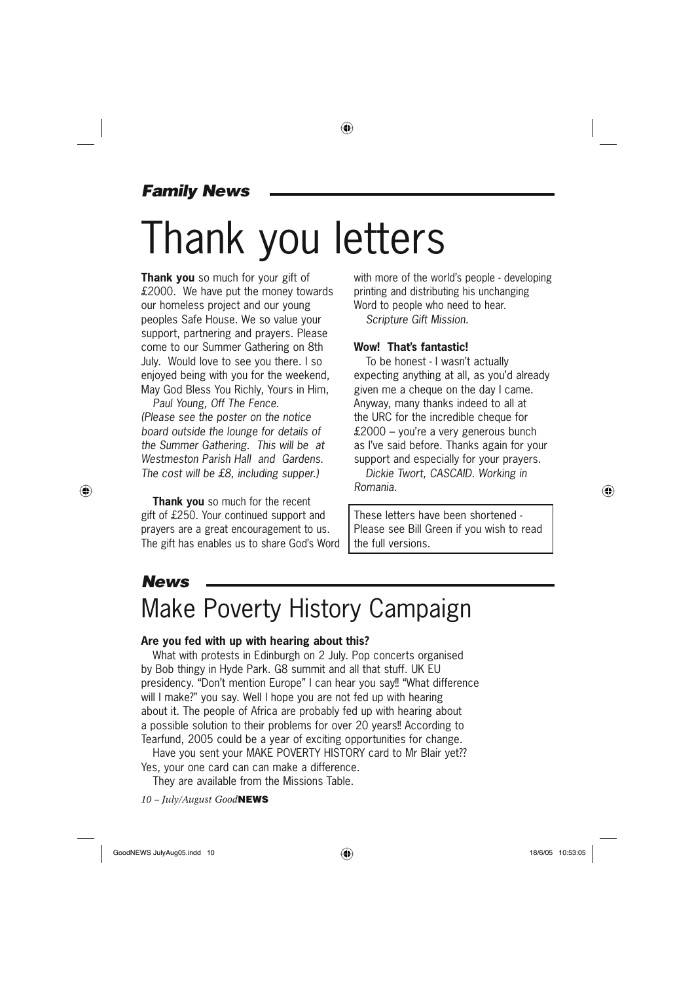### *Family News*

# Thank you letters

◈

**Thank you** so much for your gift of £2000. We have put the money towards our homeless project and our young peoples Safe House. We so value your support, partnering and prayers. Please come to our Summer Gathering on 8th July. Would love to see you there. I so enjoyed being with you for the weekend, May God Bless You Richly, Yours in Him,

*Paul Young, Off The Fence. (Please see the poster on the notice board outside the lounge for details of the Summer Gathering. This will be at Westmeston Parish Hall and Gardens. The cost will be £8, including supper.)*

**Thank you** so much for the recent gift of £250. Your continued support and prayers are a great encouragement to us. The gift has enables us to share God's Word

with more of the world's people - developing printing and distributing his unchanging Word to people who need to hear. *Scripture Gift Mission.*

#### **Wow! That's fantastic!**

To be honest - I wasn't actually expecting anything at all, as you'd already given me a cheque on the day I came. Anyway, many thanks indeed to all at the URC for the incredible cheque for £2000 – you're a very generous bunch as I've said before. Thanks again for your support and especially for your prayers.

*Dickie Twort, CASCAID. Working in Romania.*

These letters have been shortened - Please see Bill Green if you wish to read the full versions.

### *News*

⊕

### Make Poverty History Campaign

### **Are you fed with up with hearing about this?**

What with protests in Edinburgh on 2 July. Pop concerts organised by Bob thingy in Hyde Park. G8 summit and all that stuff. UK EU presidency. "Don't mention Europe" I can hear you say!! "What difference will I make?" you say. Well I hope you are not fed up with hearing about it. The people of Africa are probably fed up with hearing about a possible solution to their problems for over 20 years!! According to Tearfund, 2005 could be a year of exciting opportunities for change.

Have you sent your MAKE POVERTY HISTORY card to Mr Blair yet?? Yes, your one card can can make a difference.

They are available from the Missions Table.

*10 – July/August Good***NEWS**

GoodNEWS JulyAug05.indd 10  $\overline{\bigoplus}$  ( $\overline{\bigoplus}$ ) and the set of 18/6/05 10:53:05 10:53:05

⊕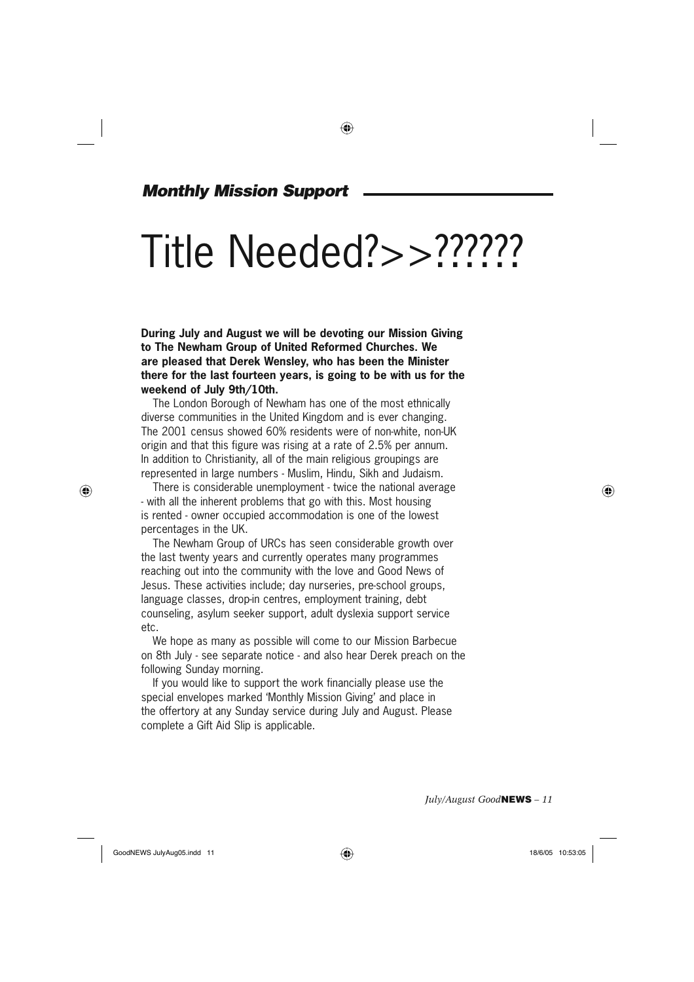### ◈

### *Monthly Mission Support*

# Title Needed?>>??????

**During July and August we will be devoting our Mission Giving to The Newham Group of United Reformed Churches. We are pleased that Derek Wensley, who has been the Minister there for the last fourteen years, is going to be with us for the weekend of July 9th/10th.**

The London Borough of Newham has one of the most ethnically diverse communities in the United Kingdom and is ever changing. The 2001 census showed 60% residents were of non-white, non-UK origin and that this figure was rising at a rate of 2.5% per annum. In addition to Christianity, all of the main religious groupings are represented in large numbers - Muslim, Hindu, Sikh and Judaism.

There is considerable unemployment - twice the national average - with all the inherent problems that go with this. Most housing is rented - owner occupied accommodation is one of the lowest percentages in the UK.

The Newham Group of URCs has seen considerable growth over the last twenty years and currently operates many programmes reaching out into the community with the love and Good News of Jesus. These activities include; day nurseries, pre-school groups, language classes, drop-in centres, employment training, debt counseling, asylum seeker support, adult dyslexia support service etc.

We hope as many as possible will come to our Mission Barbecue on 8th July - see separate notice - and also hear Derek preach on the following Sunday morning.

If you would like to support the work financially please use the special envelopes marked 'Monthly Mission Giving' and place in the offertory at any Sunday service during July and August. Please complete a Gift Aid Slip is applicable.

*July/August Good***NEWS** *– 11*

GoodNEWS JulyAug05.indd 11  $\overline{\bigoplus}$  18/6/05 10:53:05

⊕

♠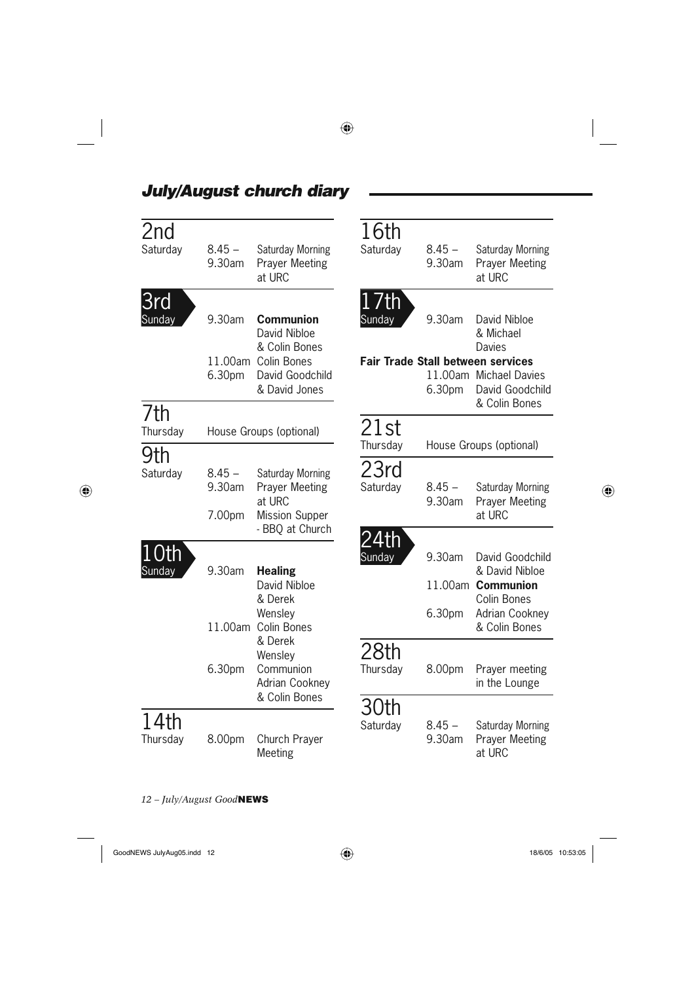| 2nd<br>Saturday  | $8.45 -$<br>9.30am           | Saturday Morning<br><b>Prayer Meeting</b><br>at URC                                                          | 16th<br>Saturday | $8.45 -$<br>9.30am | Saturday Morning<br><b>Prayer Meeting</b><br>at URC                                                                                                  |
|------------------|------------------------------|--------------------------------------------------------------------------------------------------------------|------------------|--------------------|------------------------------------------------------------------------------------------------------------------------------------------------------|
| 3rd<br>Sunday    | 9.30am<br>6.30pm             | <b>Communion</b><br>David Nibloe<br>& Colin Bones<br>11.00am Colin Bones<br>David Goodchild<br>& David Jones | 17th<br>Sunday   | 9.30am<br>6.30pm   | David Nibloe<br>& Michael<br><b>Davies</b><br><b>Fair Trade Stall between services</b><br>11.00am Michael Davies<br>David Goodchild<br>& Colin Bones |
| 7th<br>Thursday  |                              | House Groups (optional)                                                                                      | 21st             |                    |                                                                                                                                                      |
| 9th              |                              |                                                                                                              | Thursday         |                    | House Groups (optional)                                                                                                                              |
| Saturday         | $8.45 -$<br>9.30am<br>7.00pm | Saturday Morning<br><b>Prayer Meeting</b><br>at URC<br><b>Mission Supper</b><br>- BBQ at Church              | 23rd<br>Saturday | $8.45 -$<br>9.30am | Saturday Morning<br><b>Prayer Meeting</b><br>at URC                                                                                                  |
| 10th<br>Sunday   | 9.30am                       | <b>Healing</b><br>David Nibloe<br>& Derek<br>Wensley<br>11.00am Colin Bones<br>& Derek                       | 24th<br>Sunday   | 9.30am<br>6.30pm   | David Goodchild<br>& David Nibloe<br>11.00am Communion<br>Colin Bones<br><b>Adrian Cookney</b><br>& Colin Bones                                      |
|                  | 6.30pm                       | Wensley<br>Communion<br>Adrian Cookney<br>& Colin Bones                                                      | 28th<br>Thursday | 8.00pm             | Prayer meeting<br>in the Lounge                                                                                                                      |
| 14th<br>Thursday | 8.00pm                       | Church Prayer<br>Meeting                                                                                     | 30th<br>Saturday | $8.45 -$<br>9.30am | Saturday Morning<br><b>Prayer Meeting</b><br>at URC                                                                                                  |

 $\bigoplus$ 

### *July/August church diary*

 $\Box$ 

 $\bigoplus$ 

*12 – July/August Good***NEWS**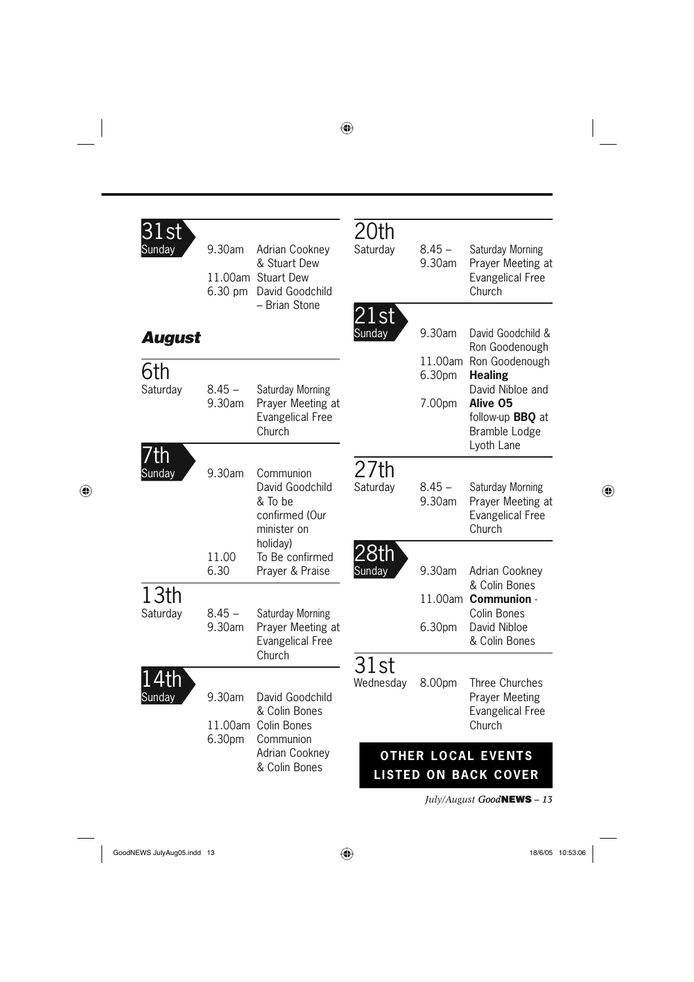| 1st<br>Sunday | 9.30am<br>$6.30 \text{ pm}$ | Adrian Cookney<br>& Stuart Dew<br>11.00am Stuart Dew<br>David Goodchild        | 20th<br>Saturday      | $8.45 -$<br>9.30am | Saturday Morning<br>Prayer Meeting at<br><b>Evangelical Free</b><br>Church             |
|---------------|-----------------------------|--------------------------------------------------------------------------------|-----------------------|--------------------|----------------------------------------------------------------------------------------|
| August        |                             | - Brian Stone                                                                  | 21st<br>Sunday        | 9.30am             | David Goodchild &<br>Ron Goodenough                                                    |
| 6th           |                             |                                                                                |                       | 6.30pm             | 11.00am Ron Goodenough<br><b>Healing</b>                                               |
| Saturday      | $8.45 -$<br>9.30am          | Saturday Morning<br>Prayer Meeting at<br><b>Evangelical Free</b><br>Church     |                       | 7.00pm             | David Nibloe and<br>Alive 05<br>follow-up <b>BBQ</b> at<br>Bramble Lodge<br>Lyoth Lane |
| 'fh<br>Sunday | 9.30am                      | Communion<br>David Goodchild<br>& To be<br>confirmed (Our<br>minister on       | 27th<br>Saturday      | $8.45 -$<br>9.30am | Saturday Morning<br>Prayer Meeting at<br><b>Evangelical Free</b><br>Church             |
|               | 11.00<br>6.30               | holiday)<br>To Be confirmed<br>Prayer & Praise                                 | <u>28th</u><br>Sunday | 9.30am             | Adrian Cookney                                                                         |
| 13th          |                             |                                                                                |                       |                    | & Colin Bones<br>11.00am Communion -                                                   |
| Saturday      | $8.45 -$<br>9.30am          | Saturday Morning<br>Prayer Meeting at<br><b>Evangelical Free</b>               |                       | 6.30pm             | Colin Bones<br>David Nibloe<br>& Colin Bones                                           |
| .th<br>Sundav | 9.30am<br>6.30pm            | Church<br>David Goodchild<br>& Colin Bones<br>11.00am Colin Bones<br>Communion | 31st<br>Wednesday     | 8.00pm             | Three Churches<br><b>Prayer Meeting</b><br><b>Evangelical Free</b><br>Church           |
|               |                             | <b>Adrian Cookney</b><br>& Colin Bones                                         |                       |                    | <b>OTHER LOCAL EVENTS</b><br><b>LISTED ON BACK COVER</b>                               |
|               |                             |                                                                                |                       |                    | <i>July/August Good</i> NEWS - 13                                                      |

 $\bigoplus$ 

GoodNEWS JulyAug05.indd 13 and the set of the set of the set of the set of the set of the set of the set of the set of the set of the set of the set of the set of the set of the set of the set of the set of the set of the

 $\sim$  1

 $\bigoplus$ 

 $\overline{\phantom{a}}$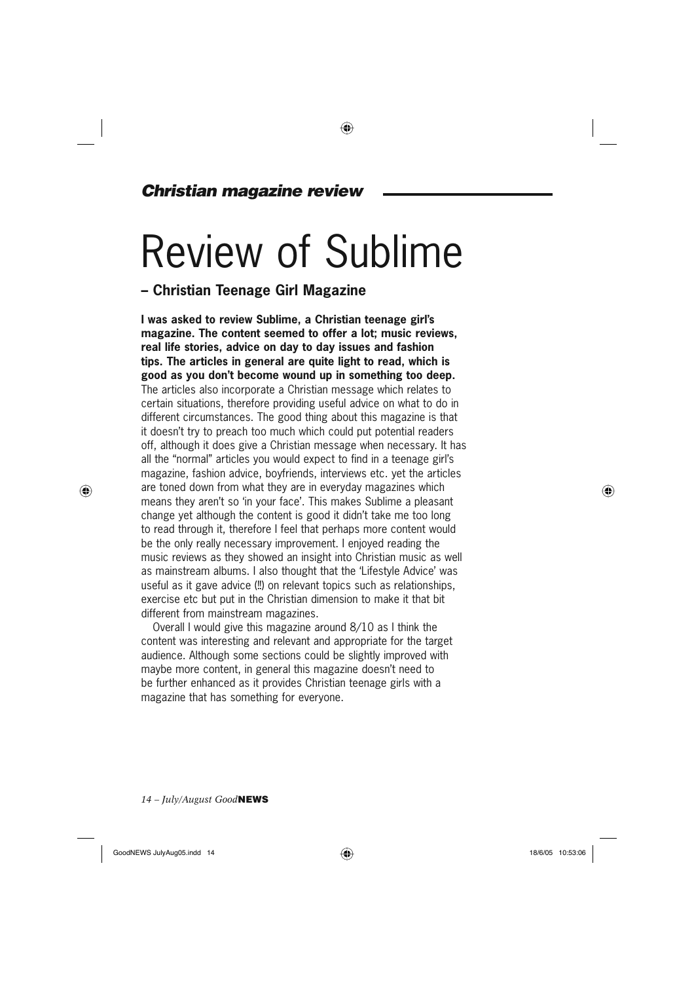### *Christian magazine review*

## Review of Sublime

◈

### **– Christian Teenage Girl Magazine**

**I was asked to review Sublime, a Christian teenage girl's magazine. The content seemed to offer a lot; music reviews, real life stories, advice on day to day issues and fashion tips. The articles in general are quite light to read, which is good as you don't become wound up in something too deep.** The articles also incorporate a Christian message which relates to certain situations, therefore providing useful advice on what to do in different circumstances. The good thing about this magazine is that it doesn't try to preach too much which could put potential readers off, although it does give a Christian message when necessary. It has all the "normal" articles you would expect to find in a teenage girl's magazine, fashion advice, boyfriends, interviews etc. yet the articles are toned down from what they are in everyday magazines which means they aren't so 'in your face'. This makes Sublime a pleasant change yet although the content is good it didn't take me too long to read through it, therefore I feel that perhaps more content would be the only really necessary improvement. I enjoyed reading the music reviews as they showed an insight into Christian music as well as mainstream albums. I also thought that the 'Lifestyle Advice' was useful as it gave advice (!!) on relevant topics such as relationships, exercise etc but put in the Christian dimension to make it that bit different from mainstream magazines.

Overall I would give this magazine around 8/10 as I think the content was interesting and relevant and appropriate for the target audience. Although some sections could be slightly improved with maybe more content, in general this magazine doesn't need to be further enhanced as it provides Christian teenage girls with a magazine that has something for everyone.

*14 – July/August Good***NEWS**

GoodNEWS JulyAug05.indd 14  $\bigoplus$  18/6/05 10:53:06

⊕

♠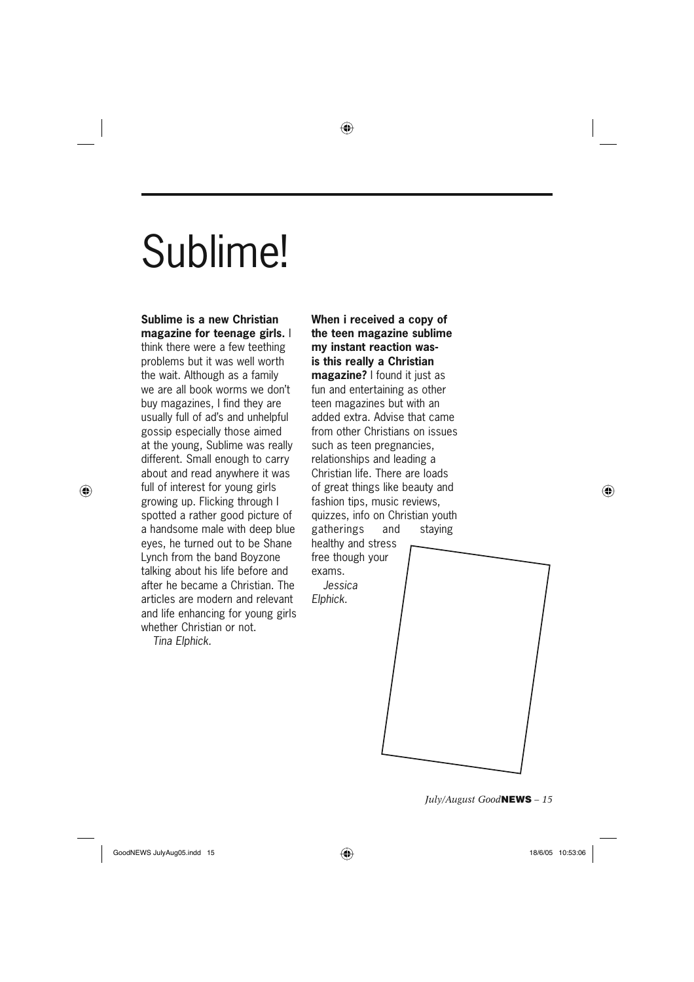## Sublime!

### **Sublime is a new Christian magazine for teenage girls.** I

think there were a few teething problems but it was well worth the wait. Although as a family we are all book worms we don't buy magazines, I find they are usually full of ad's and unhelpful gossip especially those aimed at the young, Sublime was really different. Small enough to carry about and read anywhere it was full of interest for young girls growing up. Flicking through I spotted a rather good picture of a handsome male with deep blue eyes, he turned out to be Shane Lynch from the band Boyzone talking about his life before and after he became a Christian. The articles are modern and relevant and life enhancing for young girls whether Christian or not. *Tina Elphick.*

⊕

**When i received a copy of the teen magazine sublime my instant reaction wasis this really a Christian magazine?** I found it just as fun and entertaining as other teen magazines but with an added extra. Advise that came from other Christians on issues such as teen pregnancies, relationships and leading a Christian life. There are loads of great things like beauty and fashion tips, music reviews, quizzes, info on Christian youth gatherings and staying healthy and stress free though your exams. *Jessica* 

⊕

*Elphick.*

*July/August Good***NEWS** *– 15*

GoodNEWS JulyAug05.indd 15  $\bigoplus$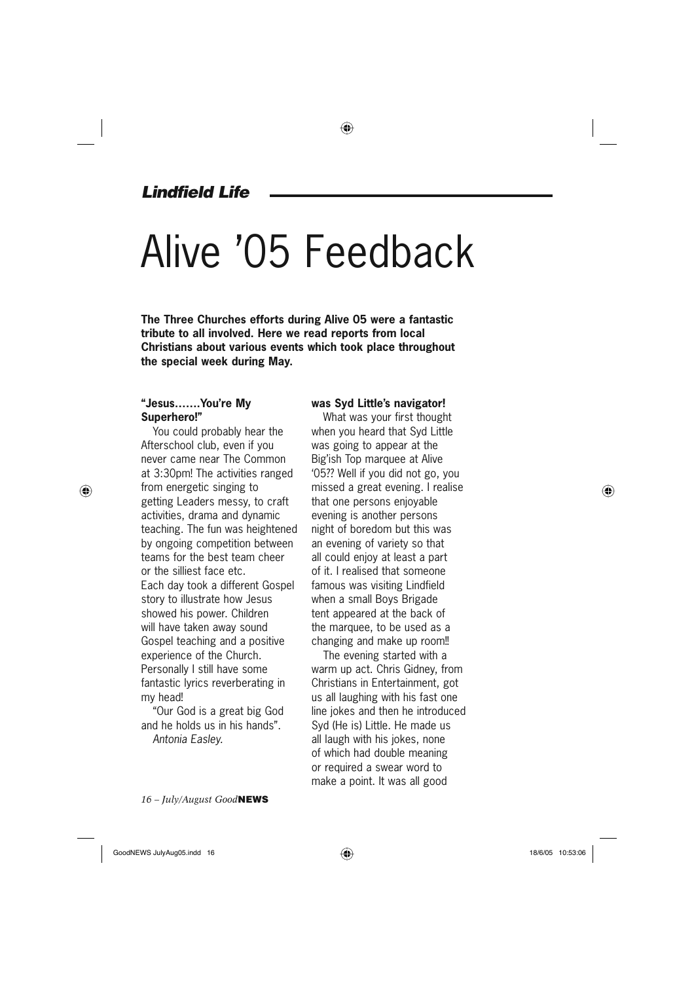### *Lindfield Life*

# Alive '05 Feedback

**The Three Churches efforts during Alive 05 were a fantastic tribute to all involved. Here we read reports from local Christians about various events which took place throughout the special week during May.**

### **"Jesus…….You're My Superhero!"**

⊕

You could probably hear the Afterschool club, even if you never came near The Common at 3:30pm! The activities ranged from energetic singing to getting Leaders messy, to craft activities, drama and dynamic teaching. The fun was heightened by ongoing competition between teams for the best team cheer or the silliest face etc. Each day took a different Gospel story to illustrate how Jesus showed his power. Children will have taken away sound Gospel teaching and a positive experience of the Church. Personally I still have some fantastic lyrics reverberating in my head!

"Our God is a great big God and he holds us in his hands". *Antonia Easley.*

*16 – July/August Good***NEWS**

### **was Syd Little's navigator!**

What was your first thought when you heard that Syd Little was going to appear at the Big'ish Top marquee at Alive '05?? Well if you did not go, you missed a great evening. I realise that one persons enjoyable evening is another persons night of boredom but this was an evening of variety so that all could enjoy at least a part of it. I realised that someone famous was visiting Lindfield when a small Boys Brigade tent appeared at the back of the marquee, to be used as a changing and make up room!!

The evening started with a warm up act. Chris Gidney, from Christians in Entertainment, got us all laughing with his fast one line jokes and then he introduced Syd (He is) Little. He made us all laugh with his jokes, none of which had double meaning or required a swear word to make a point. It was all good

GoodNEWS JulyAug05.indd 16  $\bigoplus$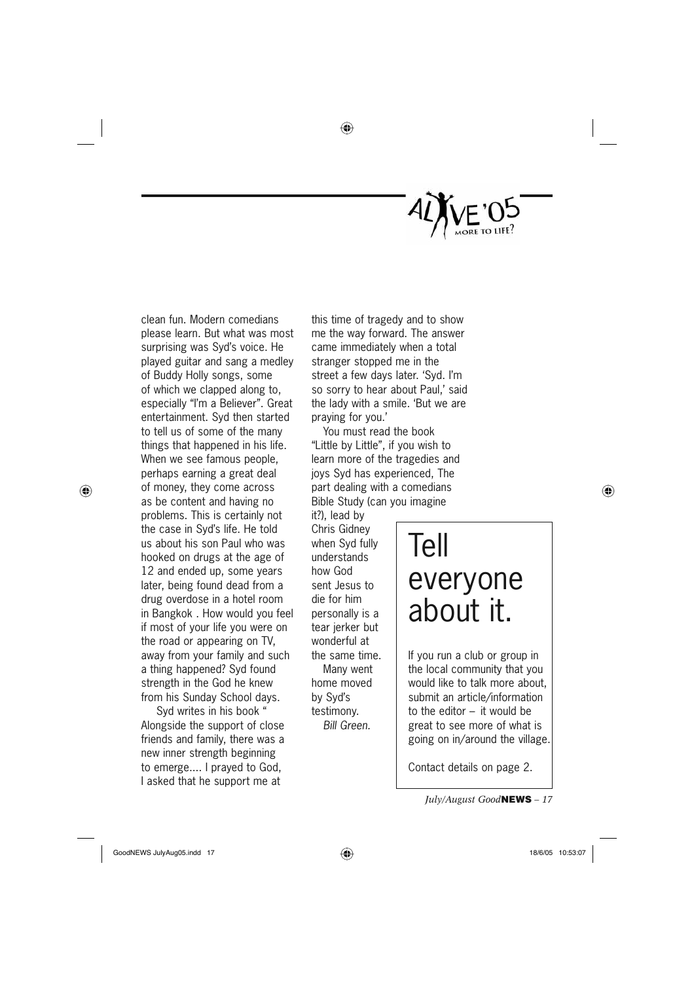

clean fun. Modern comedians please learn. But what was most surprising was Syd's voice. He played guitar and sang a medley of Buddy Holly songs, some of which we clapped along to, especially "I'm a Believer". Great entertainment. Syd then started to tell us of some of the many things that happened in his life. When we see famous people, perhaps earning a great deal of money, they come across as be content and having no problems. This is certainly not the case in Syd's life. He told us about his son Paul who was hooked on drugs at the age of 12 and ended up, some years later, being found dead from a drug overdose in a hotel room in Bangkok . How would you feel if most of your life you were on the road or appearing on TV, away from your family and such a thing happened? Syd found strength in the God he knew from his Sunday School days.

⊕

 Syd writes in his book " Alongside the support of close friends and family, there was a new inner strength beginning to emerge.... I prayed to God, I asked that he support me at

this time of tragedy and to show me the way forward. The answer came immediately when a total stranger stopped me in the street a few days later. 'Syd. I'm so sorry to hear about Paul,' said the lady with a smile. 'But we are praying for you.'

◈

You must read the book "Little by Little", if you wish to learn more of the tragedies and joys Syd has experienced, The part dealing with a comedians Bible Study (can you imagine

it?), lead by Chris Gidney when Syd fully understands how God sent Jesus to die for him personally is a tear jerker but wonderful at the same time. Many went home moved by Syd's testimony. *Bill Green.*

Tell everyone about it.

If you run a club or group in the local community that you would like to talk more about, submit an article/information to the editor – it would be great to see more of what is going on in/around the village.

Contact details on page 2.

*July/August Good***NEWS** *– 17*

GoodNEWS JulyAug05.indd 17  $\overline{\bigoplus}$  600dNEWS 18/6/05 10:53:07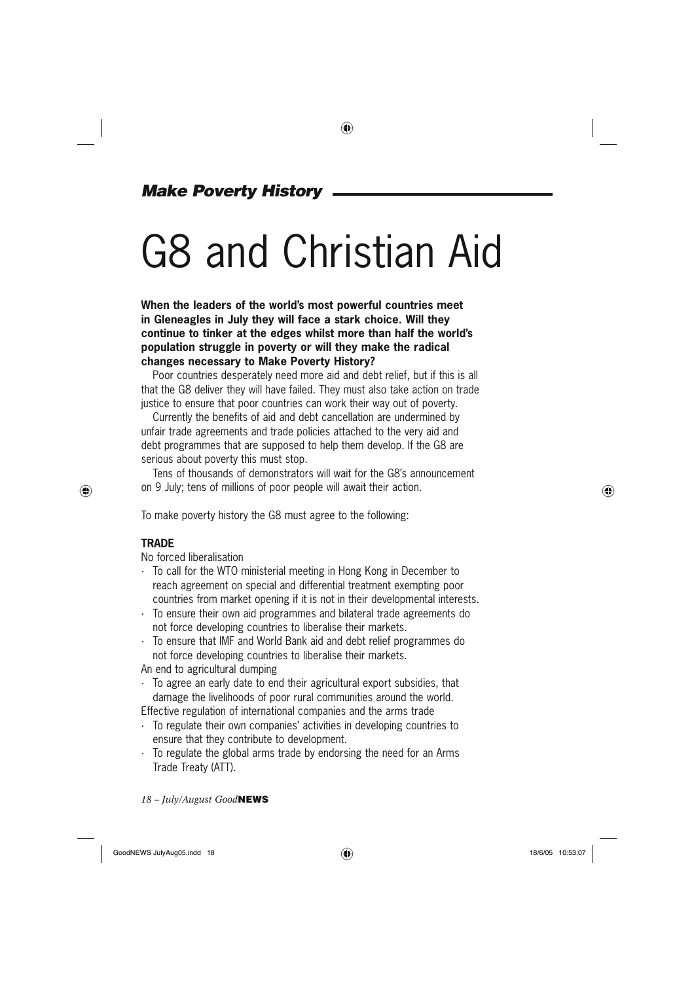### *Make Poverty History*

## G8 and Christian Aid

**When the leaders of the world's most powerful countries meet in Gleneagles in July they will face a stark choice. Will they continue to tinker at the edges whilst more than half the world's population struggle in poverty or will they make the radical changes necessary to Make Poverty History?**

Poor countries desperately need more aid and debt relief, but if this is all that the G8 deliver they will have failed. They must also take action on trade justice to ensure that poor countries can work their way out of poverty.

Currently the benefits of aid and debt cancellation are undermined by unfair trade agreements and trade policies attached to the very aid and debt programmes that are supposed to help them develop. If the G8 are serious about poverty this must stop.

Tens of thousands of demonstrators will wait for the G8's announcement on 9 July; tens of millions of poor people will await their action.

To make poverty history the G8 must agree to the following:

### **TRADE**

⊕

No forced liberalisation

- · To call for the WTO ministerial meeting in Hong Kong in December to reach agreement on special and differential treatment exempting poor countries from market opening if it is not in their developmental interests.
- · To ensure their own aid programmes and bilateral trade agreements do not force developing countries to liberalise their markets.
- · To ensure that IMF and World Bank aid and debt relief programmes do not force developing countries to liberalise their markets.

An end to agricultural dumping

· To agree an early date to end their agricultural export subsidies, that damage the livelihoods of poor rural communities around the world. Effective regulation of international companies and the arms trade

- · To regulate their own companies' activities in developing countries to ensure that they contribute to development.
- · To regulate the global arms trade by endorsing the need for an Arms Trade Treaty (ATT).

*18 – July/August Good***NEWS**

⊕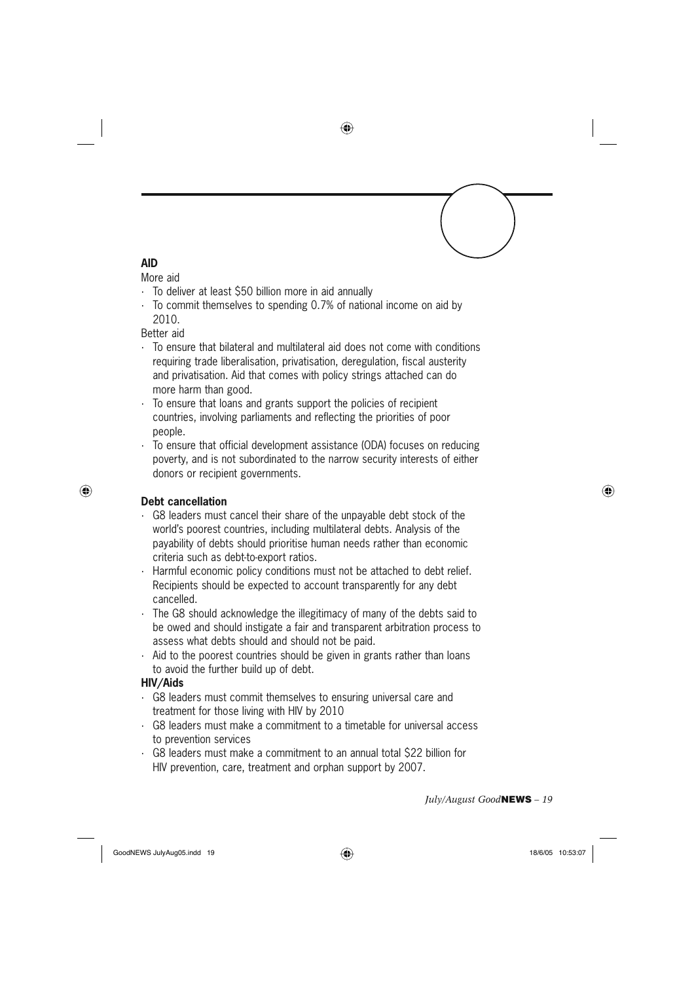### ◈

### **AID**

### More aid

- · To deliver at least \$50 billion more in aid annually
- · To commit themselves to spending 0.7% of national income on aid by 2010.

Better aid

- · To ensure that bilateral and multilateral aid does not come with conditions requiring trade liberalisation, privatisation, deregulation, fiscal austerity and privatisation. Aid that comes with policy strings attached can do more harm than good.
- · To ensure that loans and grants support the policies of recipient countries, involving parliaments and reflecting the priorities of poor people.
- To ensure that official development assistance (ODA) focuses on reducing poverty, and is not subordinated to the narrow security interests of either donors or recipient governments.

### **Debt cancellation**

⊕

- · G8 leaders must cancel their share of the unpayable debt stock of the world's poorest countries, including multilateral debts. Analysis of the payability of debts should prioritise human needs rather than economic criteria such as debt-to-export ratios.
- · Harmful economic policy conditions must not be attached to debt relief. Recipients should be expected to account transparently for any debt cancelled.
- · The G8 should acknowledge the illegitimacy of many of the debts said to be owed and should instigate a fair and transparent arbitration process to assess what debts should and should not be paid.
- · Aid to the poorest countries should be given in grants rather than loans to avoid the further build up of debt.

#### **HIV/Aids**

- · G8 leaders must commit themselves to ensuring universal care and treatment for those living with HIV by 2010
- · G8 leaders must make a commitment to a timetable for universal access to prevention services
- · G8 leaders must make a commitment to an annual total \$22 billion for HIV prevention, care, treatment and orphan support by 2007.

*July/August Good***NEWS** *– 19*

GoodNEWS JulyAug05.indd 19  $\bigoplus$  18/6/05 10:53:07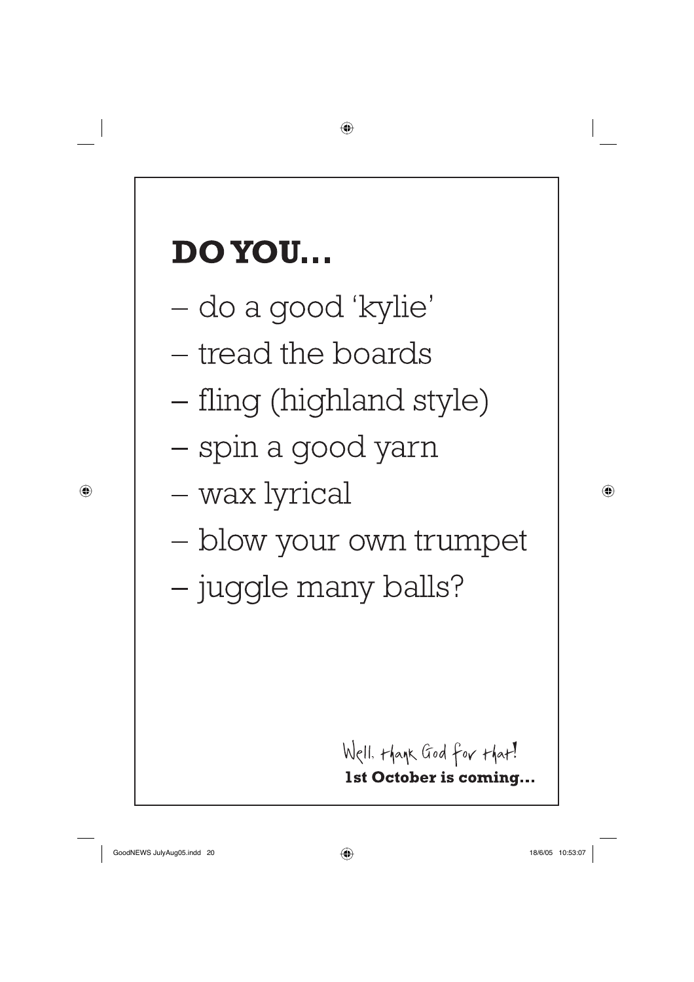## **DO YOU...**

- do a good 'kylie'
- tread the boards
- fling (highland style)

⊕

- spin a good yarn
- wax lyrical
- blow your own trumpet
- juggle many balls?

Well. thank God for that! 1st October is coming...

GoodNEWS JulyAug05.indd 20 oodNEWS 18/6/05 10:53:07 8/6/05

⊕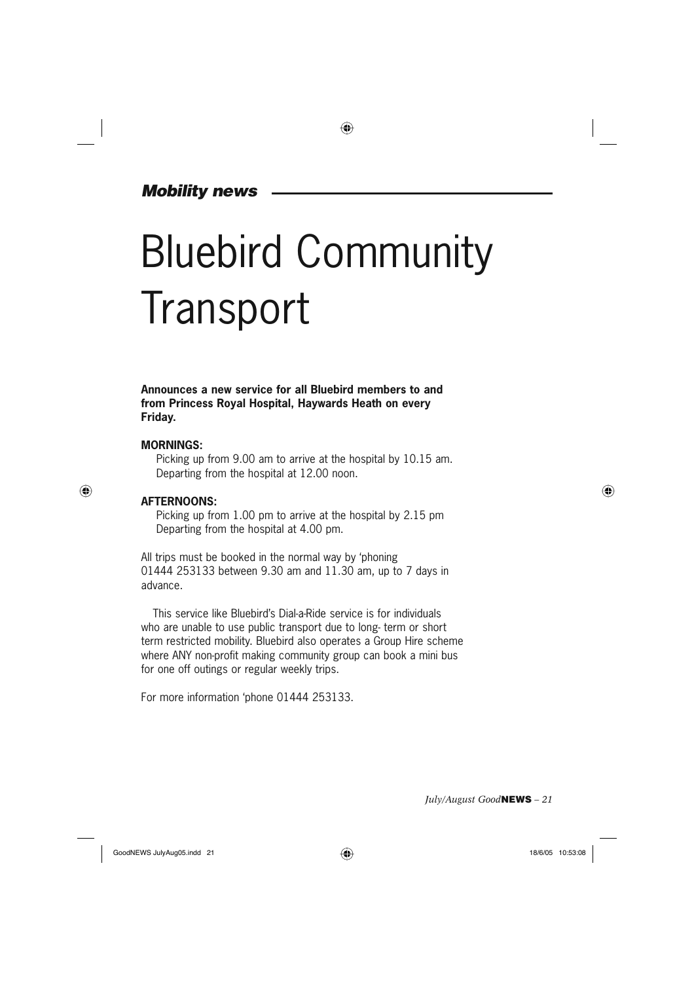### *Mobility news*

# Bluebird Community **Transport**

**Announces a new service for all Bluebird members to and from Princess Royal Hospital, Haywards Heath on every Friday.**

#### **MORNINGS:**

⊕

 Picking up from 9.00 am to arrive at the hospital by 10.15 am. Departing from the hospital at 12.00 noon.

#### **AFTERNOONS:**

 Picking up from 1.00 pm to arrive at the hospital by 2.15 pm Departing from the hospital at 4.00 pm.

All trips must be booked in the normal way by 'phoning 01444 253133 between 9.30 am and 11.30 am, up to 7 days in advance.

This service like Bluebird's Dial-a-Ride service is for individuals who are unable to use public transport due to long- term or short term restricted mobility. Bluebird also operates a Group Hire scheme where ANY non-profit making community group can book a mini bus for one off outings or regular weekly trips.

For more information 'phone 01444 253133.

*July/August Good***NEWS** *– 21*

GoodNEWS JulyAug05.indd 21  $\bigoplus$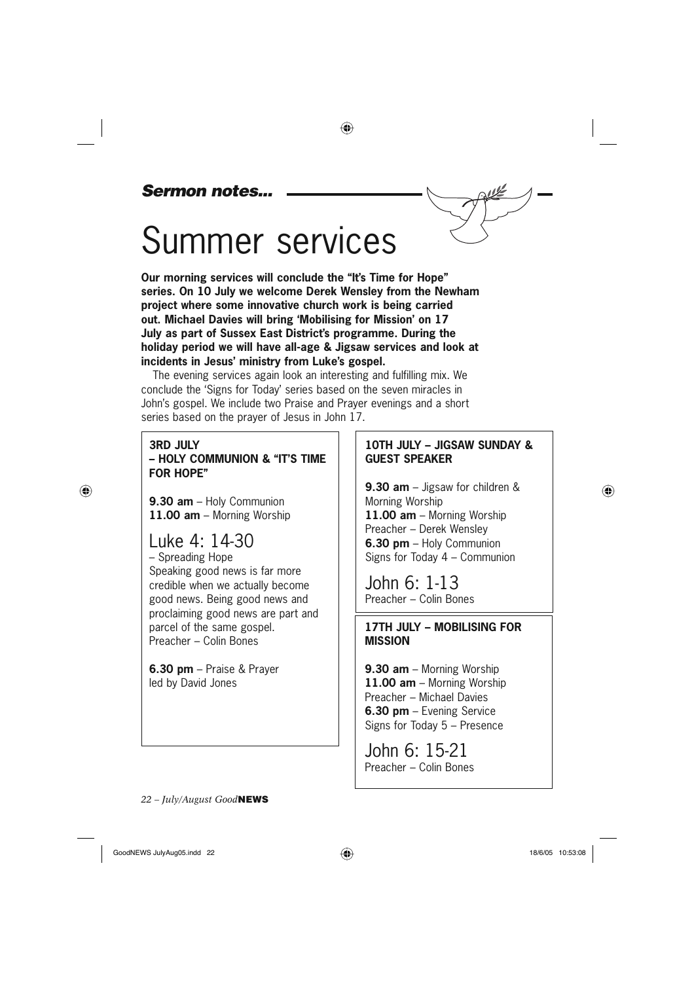### *Sermon notes...*

## Summer services

**Our morning services will conclude the "It's Time for Hope" series. On 10 July we welcome Derek Wensley from the Newham project where some innovative church work is being carried out. Michael Davies will bring 'Mobilising for Mission' on 17 July as part of Sussex East District's programme. During the holiday period we will have all-age & Jigsaw services and look at incidents in Jesus' ministry from Luke's gospel.**

 $\bigoplus$ 

The evening services again look an interesting and fulfilling mix. We conclude the 'Signs for Today' series based on the seven miracles in John's gospel. We include two Praise and Prayer evenings and a short series based on the prayer of Jesus in John 17.

### **3RD JULY – HOLY COMMUNION & "IT'S TIME FOR HOPE"**

**9.30 am** – Holy Communion **11.00 am** – Morning Worship

### Luke 4: 14-30

⊕

– Spreading Hope Speaking good news is far more credible when we actually become good news. Being good news and proclaiming good news are part and parcel of the same gospel. Preacher – Colin Bones

**6.30 pm** – Praise & Prayer led by David Jones

### **10TH JULY – JIGSAW SUNDAY & GUEST SPEAKER**

**9.30 am** – Jigsaw for children & Morning Worship **11.00 am** – Morning Worship Preacher – Derek Wensley **6.30 pm** – Holy Communion Signs for Today 4 – Communion

John 6: 1-13 Preacher – Colin Bones

### **17TH JULY – MOBILISING FOR MISSION**

**9.30 am** – Morning Worship **11.00 am** – Morning Worship Preacher – Michael Davies **6.30 pm** – Evening Service Signs for Today 5 – Presence

John 6: 15-21 Preacher – Colin Bones

*22 – July/August Good***NEWS**

♠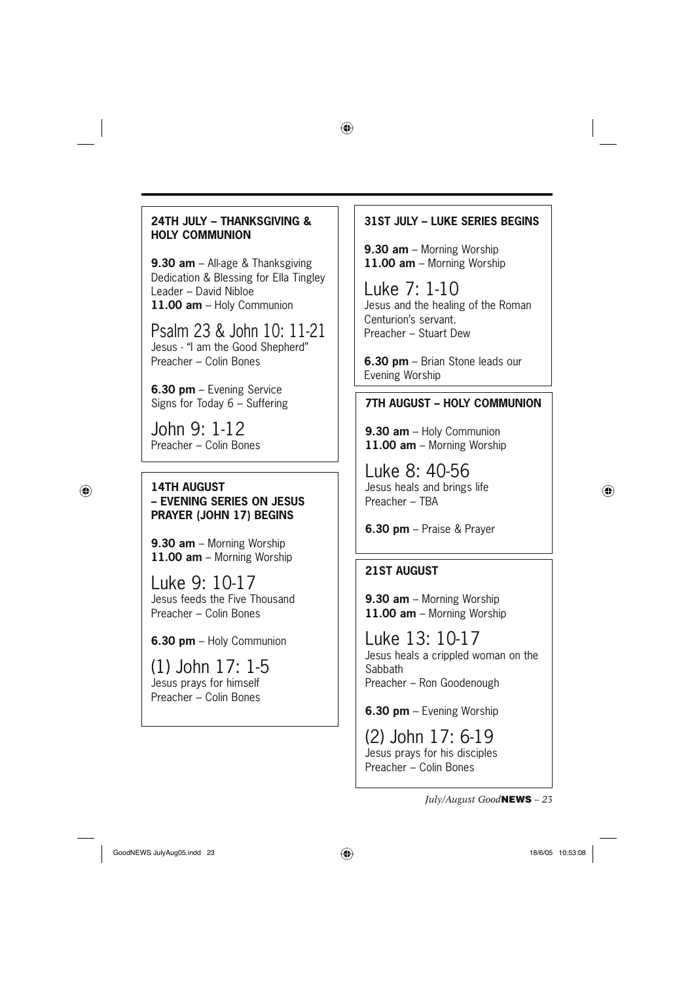### **24TH JULY – THANKSGIVING & HOLY COMMUNION**

**9.30 am** – All-age & Thanksgiving Dedication & Blessing for Ella Tingley Leader – David Nibloe **11.00 am** – Holy Communion

Psalm 23 & John 10: 11-21 Jesus - "I am the Good Shepherd" Preacher – Colin Bones

**6.30 pm** – Evening Service Signs for Today 6 – Suffering

John 9: 1-12 Preacher – Colin Bones

⊕

### **14TH AUGUST – EVENING SERIES ON JESUS PRAYER (JOHN 17) BEGINS**

**9.30 am** – Morning Worship **11.00 am** – Morning Worship

Luke 9: 10-17 Jesus feeds the Five Thousand Preacher – Colin Bones

**6.30 pm** – Holy Communion

(1) John 17: 1-5 Jesus prays for himself Preacher – Colin Bones

### **31ST JULY – LUKE SERIES BEGINS**

**9.30 am** – Morning Worship **11.00 am** – Morning Worship

⊕

Luke 7: 1-10 Jesus and the healing of the Roman Centurion's servant. Preacher – Stuart Dew

**6.30 pm** – Brian Stone leads our Evening Worship

### **7TH AUGUST – HOLY COMMUNION**

**9.30 am** – Holy Communion **11.00 am** – Morning Worship

Luke 8: 40-56 Jesus heals and brings life Preacher – TBA

**6.30 pm** – Praise & Prayer

### **21ST AUGUST**

**9.30 am** – Morning Worship **11.00 am** – Morning Worship

Luke 13: 10-17 Jesus heals a crippled woman on the Sabbath Preacher – Ron Goodenough

**6.30 pm** – Evening Worship

(2) John 17: 6-19 Jesus prays for his disciples Preacher – Colin Bones

*July/August Good***NEWS** *– 23*

GoodNEWS JulyAug05.indd 23  $\bigoplus$  18/6/05 10:53:08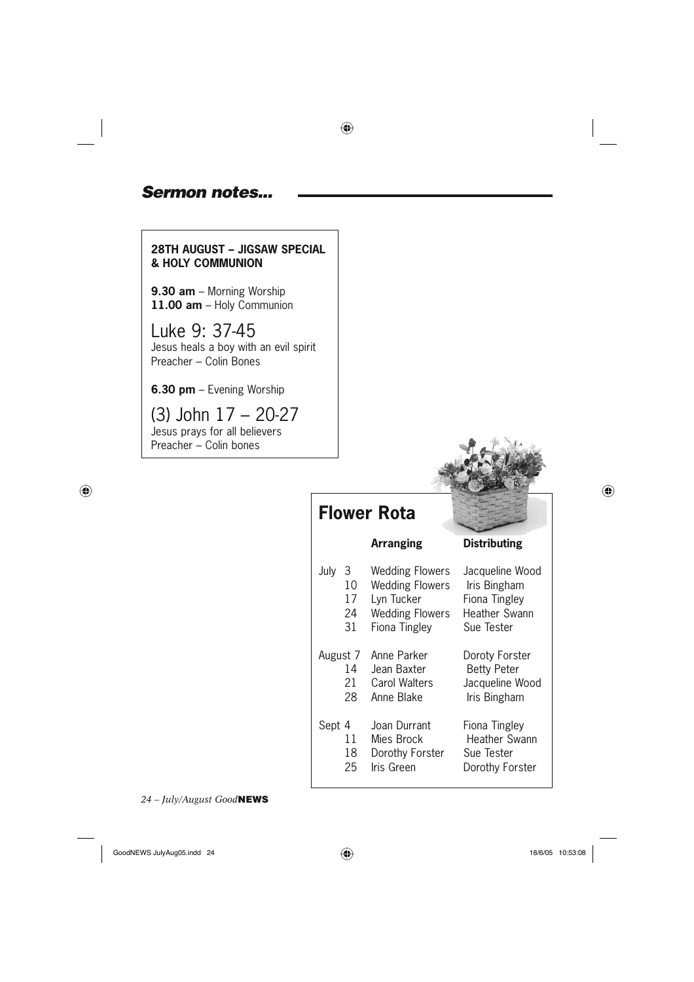### *Sermon notes...*

### **28TH AUGUST – JIGSAW SPECIAL & HOLY COMMUNION**

**9.30 am** – Morning Worship **11.00 am** – Holy Communion

Luke 9: 37-45 Jesus heals a boy with an evil spirit Preacher – Colin Bones

**6.30 pm** – Evening Worship

(3) John 17 – 20-27 Jesus prays for all believers Preacher – Colin bones

 $\bigoplus$ 



### **Flower Rota**



| July     | 3<br>10<br>17<br>24<br>31 | <b>Wedding Flowers</b><br><b>Wedding Flowers</b><br>Lyn Tucker<br><b>Wedding Flowers</b><br>Fiona Tingley | Jacqueline Wood<br>Iris Bingham<br>Fiona Tingley<br><b>Heather Swann</b><br>Sue Tester |
|----------|---------------------------|-----------------------------------------------------------------------------------------------------------|----------------------------------------------------------------------------------------|
| August 7 | 14<br>21<br>28            | Anne Parker<br>Jean Baxter<br>Carol Walters<br>Anne Blake                                                 | Doroty Forster<br><b>Betty Peter</b><br>Jacqueline Wood<br>Iris Bingham                |
| Sept 4   | 11<br>18<br>25            | Joan Durrant<br>Mies Brock<br>Dorothy Forster<br>Iris Green                                               | Fiona Tingley<br>Heather Swann<br>Sue Tester<br>Dorothy Forster                        |

*24 – July/August Good***NEWS**

GoodNEWS JulyAug05.indd 24  $\bigoplus$